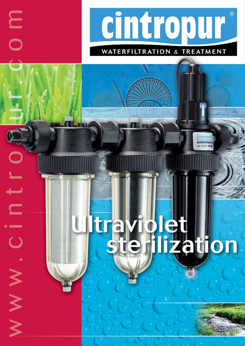

# **ultra**  $\bullet$ lization

UV 2100

 $\overline{\overline{O}}$ پ ▀  $\bigcirc$  $W W$ 

Ξ

 $\overline{\mathsf{C}}$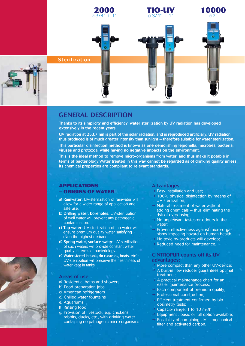

# GENERAL DESCRIPTION

Thanks to its simplicity and efficiency, water sterilization by UV radiation has developed extensively in the recent years.

UV radiation at 253.7 nm is part of the solar radiation, and is reproduced artificially. UV radiation thus produced is of much greater intensity than sunlight – therefore suitable for water sterilization. This particular disinfection method is known as one demolishing legionella, microbes, bacteria, viruses and protozoa, while having no negative impacts on the environment.

This is the ideal method to remove micro-organisms from water, and thus make it potable in terms of bacteriology.Water treated in this way cannot be regarded as of drinking quality unless its chemical properties are compliant to relevant standards.

## **Applications – ORIGINS OF WATER**

- a) Rainwater: UV-sterilization of rainwater will allow for a wider range of application and safe use.
- b) Drilling water, boreholes: UV-sterilization of well water will prevent any pathogenic contamination.
- c) Tap water: UV-sterilization of tap water will ensure premium quality water satisfying even the highest demands.
- d) Spring water, surface water: UV-sterilization of such waters will provide constant water quality in terms of bacteriology.
- e) Water stored in tanks (in caravans, boats, etc.) : UV-sterilization will preserve the healthiness of water kept in tanks.

## Areas of use

- a) Residential baths and showers
- b) Food preparation jobs
- c) American refrigerators
- d) Chilled water fountains
- e) Aquariums
- f) Rinsing food
- g) Provision of livestock, e.g. chickens, rabbits, ducks, etc., with drinking water containing no pathogenic micro-organisms

## Advantages:

- $\rightarrow$  Easy installation and use;
- $\rightarrow$  100% physical disinfection by means of UV sterilization;
- $\rightarrow$  Natural treatment of water without adding chemicals – thus eliminating the risk of overdosing;
- $\rightarrow$  No unpleasant tastes or odours in the water;
- $\rightarrow$  Proven effectiveness against micro-organisms imposing hazard on human health;
- $\rightarrow$  No toxic by-products will develop;
- $\rightarrow$  Reduced need for maintenance.

## CINTROPUR counts off its UV advantages:

- $\rightarrow$  More compact than any other UV-device;
- $\rightarrow$  A built-in flow reducer guarantees optimal treatment;
- $\rightarrow$  A practical maintenance chart for an easier maintenance process;
- $\rightarrow$  Each component of premium quality;
- $\rightarrow$  Professional construction;
- Efficient treatment confirmed by biodosimetry tests;
- $\rightarrow$  Capacity range: 1 to 10 m<sup>3</sup>/h;
- $\rightarrow$  Equipment : basic or full option available;
- $\rightarrow$  Possibility of combining UV + mechanical filter and activated carbon.

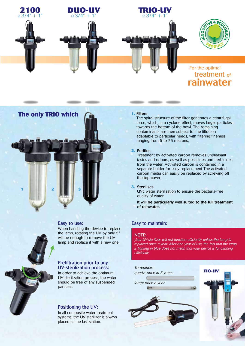



#### Easy to use:

When handling the device to replace the lamp, rotating the UV by only 5° will be enough to remove the UV lamp and replace it with a new one.

#### Prefiltration prior to any UV-sterilization process:

In order to achieve the optimum UV-sterilization process, the water should be free of any suspended particles.

### Positioning the UV:

In all composite water treatment systems, the UV-sterilizer is always placed as the last station.

#### **1.** Filters

 $\frac{1}{2} \left( \frac{1}{2} \right) \left( \frac{1}{2} \right) \left( \frac{1}{2} \right) \left( \frac{1}{2} \right)$ 

The spiral structure of the filter generates a centrifugal force, which, in a cyclone effect, moves larger particles towards the bottom of the bowl. The remaining contaminants are then subject to fine filtration adaptable to particular needs, with filtering fineness ranging from 5 to 25 microns;

#### **2.** Purifies

Treatment by activated carbon removes unpleasant tastes and odours, as well as pesticides and herbicides from the water. Activated carbon is contained in a separate holder for easy replacement The activated carbon media can easily be replaced by screwing off the top cover;

**3.** Sterilises

UVc water sterilisation to ensure the bacteria-free quality of water.

It will be particularly well suited to the full treatment of rainwater.

### Easy to maintain:

#### NOTE:

*Your UV-sterilizer will not function efficiently unless the lamp is replaced once a year. After one year of use, the fact that the lamp is lighting in blue does not mean that your device is functioning efficiently.*